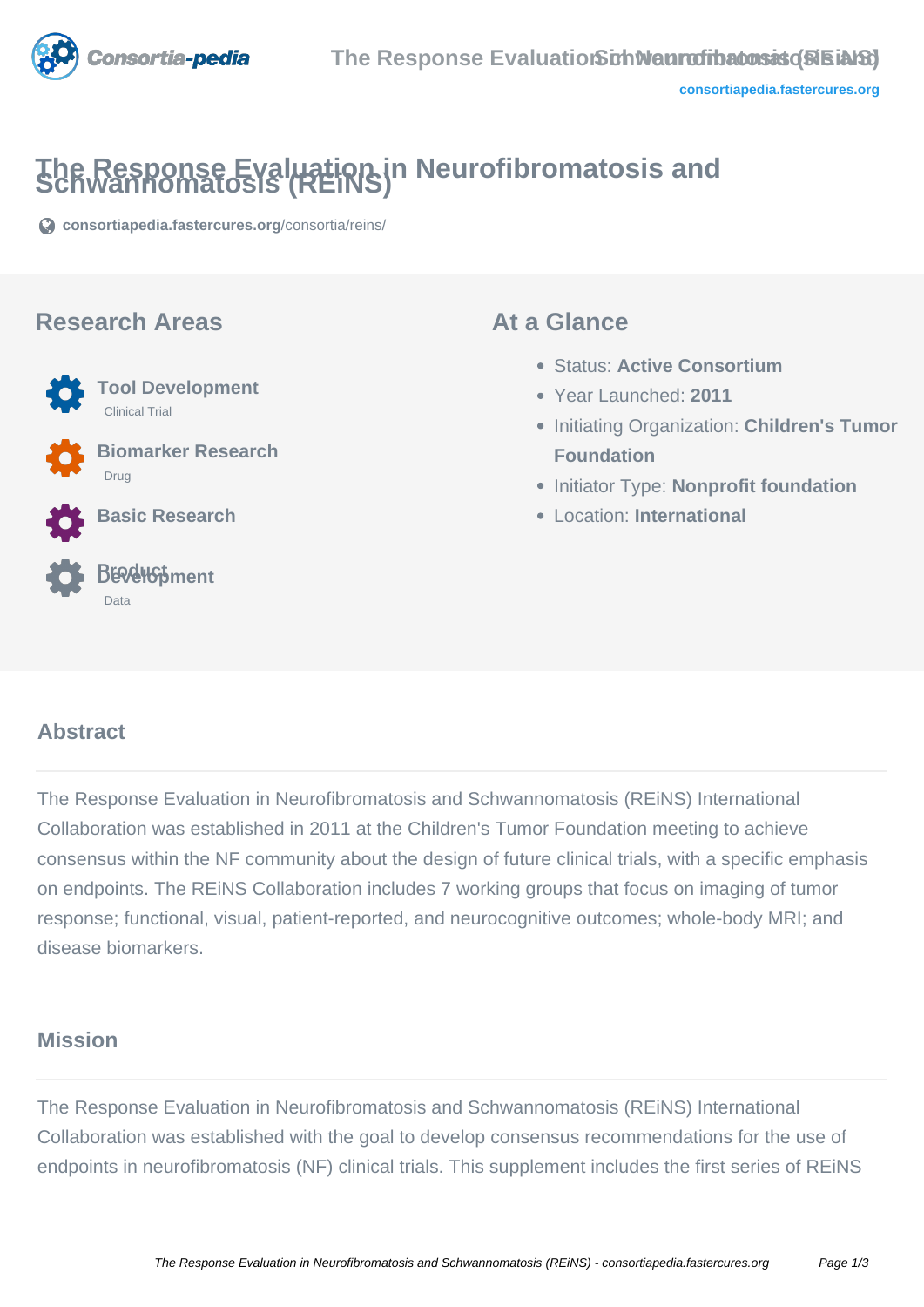

# **The Response Evaluation in Neurofibromatosis and Schwannomatosis (REiNS)**

**[consortiapedia.fastercures.org](https://consortiapedia.fastercures.org/consortia/reins/)**[/consortia/reins/](https://consortiapedia.fastercures.org/consortia/reins/)

#### **Research Areas**



Clinical Trial

 **Biomarker Research** Drug

**Tool Development**

**Basic Research**



#### **At a Glance**

- Status: **Active Consortium**
- Year Launched: **2011**
- **Initiating Organization: Children's Tumor Foundation**
- **Initiator Type: Nonprofit foundation**
- Location: **International**

#### $\overline{a}$ **Abstract**

The Response Evaluation in Neurofibromatosis and Schwannomatosis (REiNS) International Collaboration was established in 2011 at the Children's Tumor Foundation meeting to achieve consensus within the NF community about the design of future clinical trials, with a specific emphasis on endpoints. The REiNS Collaboration includes 7 working groups that focus on imaging of tumor response; functional, visual, patient-reported, and neurocognitive outcomes; whole-body MRI; and disease biomarkers.

#### **Mission**

The Response Evaluation in Neurofibromatosis and Schwannomatosis (REiNS) International Collaboration was established with the goal to develop consensus recommendations for the use of endpoints in neurofibromatosis (NF) clinical trials. This supplement includes the first series of REiNS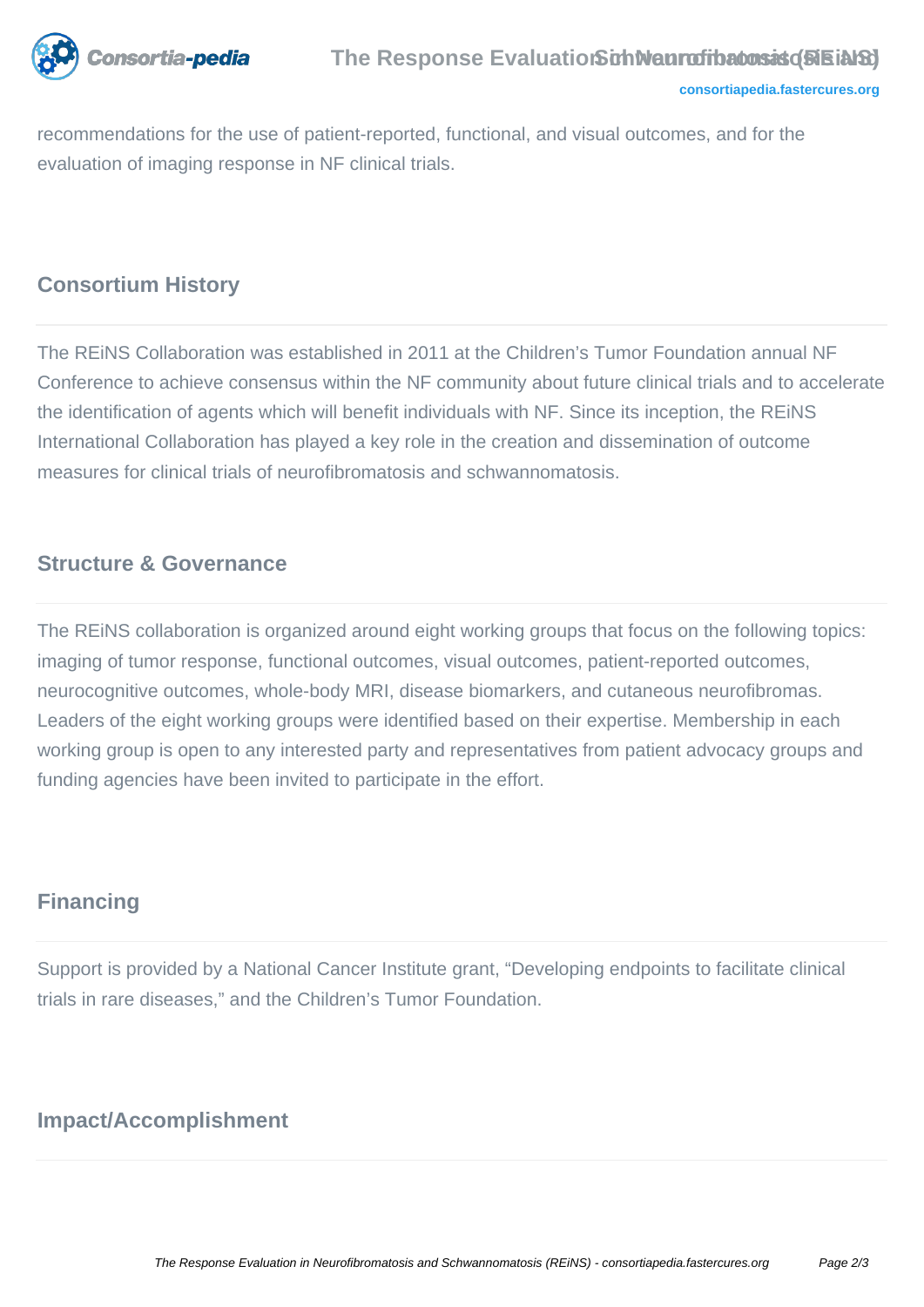

recommendations for the use of patient-reported, functional, and visual outcomes, and for the evaluation of imaging response in NF clinical trials.

#### **Consortium History**

The REiNS Collaboration was established in 2011 at the Children's Tumor Foundation annual NF Conference to achieve consensus within the NF community about future clinical trials and to accelerate the identification of agents which will benefit individuals with NF. Since its inception, the REiNS International Collaboration has played a key role in the creation and dissemination of outcome measures for clinical trials of neurofibromatosis and schwannomatosis.

#### **Structure & Governance**

The REiNS collaboration is organized around eight working groups that focus on the following topics: imaging of tumor response, functional outcomes, visual outcomes, patient-reported outcomes, neurocognitive outcomes, whole-body MRI, disease biomarkers, and cutaneous neurofibromas. Leaders of the eight working groups were identified based on their expertise. Membership in each working group is open to any interested party and representatives from patient advocacy groups and funding agencies have been invited to participate in the effort.

#### **Financing**

Support is provided by a National Cancer Institute grant, "Developing endpoints to facilitate clinical trials in rare diseases," and the Children's Tumor Foundation.

## **Impact/Accomplishment**